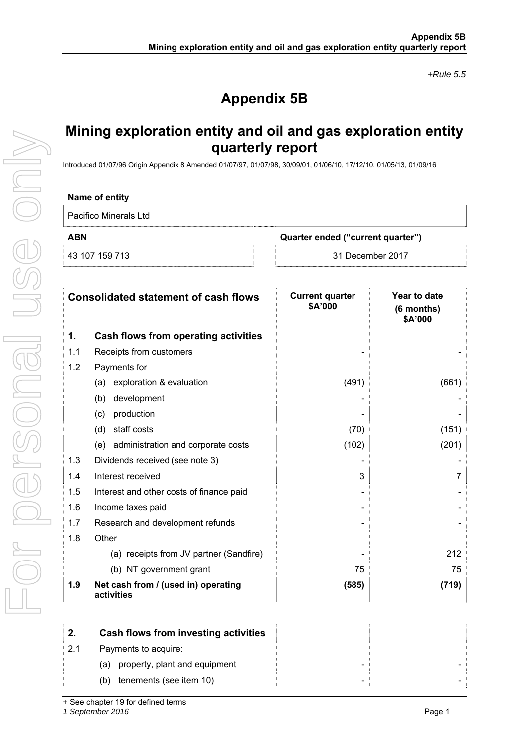*+Rule 5.5* 

# **Appendix 5B**

## **Mining exploration entity and oil and gas exploration entity quarterly report**

Introduced 01/07/96 Origin Appendix 8 Amended 01/07/97, 01/07/98, 30/09/01, 01/06/10, 17/12/10, 01/05/13, 01/09/16

### **Name of entity**

Pacifico Minerals Ltd

**ABN Quarter ended ("current quarter")** 

43 107 159 713 31 December 2017

|     | <b>Consolidated statement of cash flows</b>       | <b>Current quarter</b><br>\$A'000 | Year to date<br>(6 months)<br>\$A'000 |
|-----|---------------------------------------------------|-----------------------------------|---------------------------------------|
| 1.  | Cash flows from operating activities              |                                   |                                       |
| 1.1 | Receipts from customers                           |                                   |                                       |
| 1.2 | Payments for                                      |                                   |                                       |
|     | (a) exploration & evaluation                      | (491)                             | (661)                                 |
|     | development<br>(b)                                |                                   |                                       |
|     | production<br>(c)                                 |                                   |                                       |
|     | staff costs<br>(d)                                | (70)                              | (151)                                 |
|     | (e) administration and corporate costs            | (102)                             | (201)                                 |
| 1.3 | Dividends received (see note 3)                   |                                   |                                       |
| 1.4 | Interest received                                 | 3                                 | 7                                     |
| 1.5 | Interest and other costs of finance paid          |                                   |                                       |
| 1.6 | Income taxes paid                                 |                                   |                                       |
| 1.7 | Research and development refunds                  |                                   |                                       |
| 1.8 | Other                                             |                                   |                                       |
|     | (a) receipts from JV partner (Sandfire)           |                                   | 212                                   |
|     | (b) NT government grant                           | 75                                | 75                                    |
| 1.9 | Net cash from / (used in) operating<br>activities | (585)                             | (719)                                 |

| 2.  | Cash flows from investing activities |                |
|-----|--------------------------------------|----------------|
| 2.1 | Payments to acquire:                 |                |
|     | property, plant and equipment<br>(a) | $\blacksquare$ |
|     | tenements (see item 10)<br>(b)       | $\blacksquare$ |

*1 September 2016* Page 1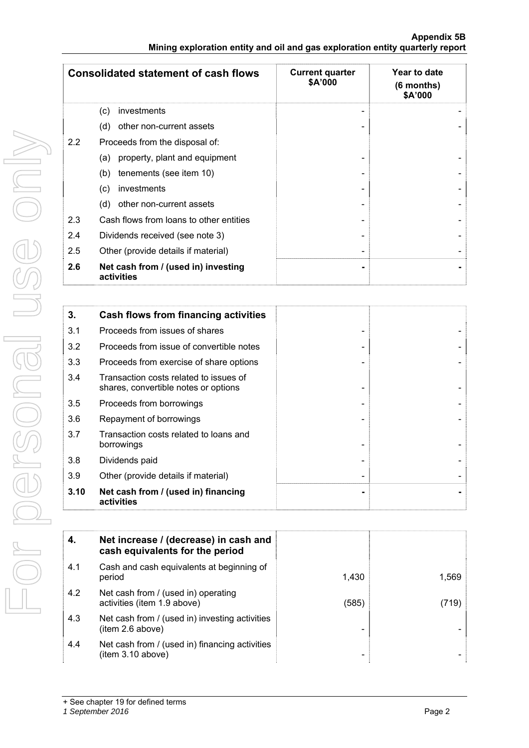| <b>Appendix 5B</b>                                                            |  |
|-------------------------------------------------------------------------------|--|
| Mining exploration entity and oil and gas exploration entity quarterly report |  |

|     | <b>Consolidated statement of cash flows</b>       | <b>Current quarter</b><br>\$A'000 | Year to date<br>(6 months)<br>\$A'000 |
|-----|---------------------------------------------------|-----------------------------------|---------------------------------------|
|     | investments<br>(c)                                |                                   |                                       |
|     | other non-current assets<br>(d)                   |                                   |                                       |
| 2.2 | Proceeds from the disposal of:                    |                                   |                                       |
|     | property, plant and equipment<br>(a)              |                                   |                                       |
|     | (b)<br>tenements (see item 10)                    |                                   |                                       |
|     | investments<br>(c)                                |                                   |                                       |
|     | (d)<br>other non-current assets                   |                                   |                                       |
| 2.3 | Cash flows from loans to other entities           |                                   |                                       |
| 2.4 | Dividends received (see note 3)                   |                                   |                                       |
| 2.5 | Other (provide details if material)               |                                   |                                       |
| 2.6 | Net cash from / (used in) investing<br>activities |                                   |                                       |

| 3.   | Cash flows from financing activities                                           |  |
|------|--------------------------------------------------------------------------------|--|
| 3.1  | Proceeds from issues of shares                                                 |  |
| 3.2  | Proceeds from issue of convertible notes                                       |  |
| 3.3  | Proceeds from exercise of share options                                        |  |
| 3.4  | Transaction costs related to issues of<br>shares, convertible notes or options |  |
| 3.5  | Proceeds from borrowings                                                       |  |
| 3.6  | Repayment of borrowings                                                        |  |
| 3.7  | Transaction costs related to loans and<br>borrowings                           |  |
| 3.8  | Dividends paid                                                                 |  |
| 3.9  | Other (provide details if material)                                            |  |
| 3.10 | Net cash from / (used in) financing<br>activities                              |  |

| 4.  | Net increase / (decrease) in cash and<br>cash equivalents for the period |       |       |
|-----|--------------------------------------------------------------------------|-------|-------|
| 4.1 | Cash and cash equivalents at beginning of<br>period                      | 1.430 | 1,569 |
| 4.2 | Net cash from / (used in) operating<br>activities (item 1.9 above)       | (585) | (719) |
| 4.3 | Net cash from / (used in) investing activities<br>item 2.6 above)        |       |       |
| 4.4 | Net cash from / (used in) financing activities<br>(item 3.10 above)      |       |       |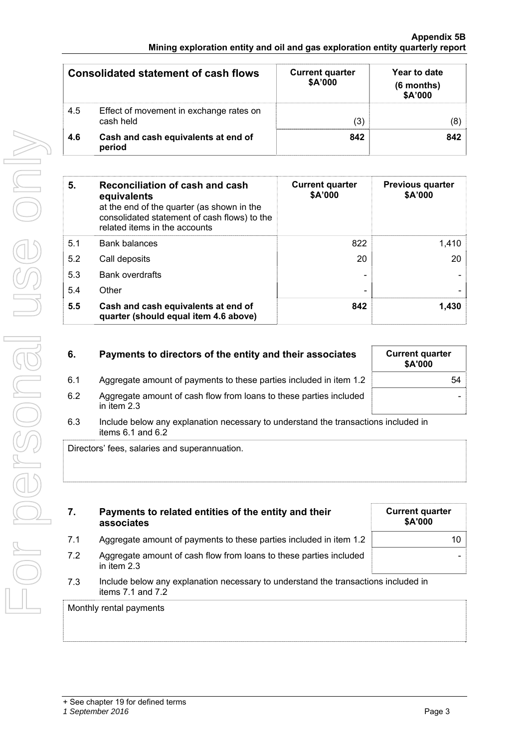|     | <b>Consolidated statement of cash flows</b>          | <b>Current quarter</b><br>\$A'000 | Year to date<br>$(6$ months)<br>\$A'000 |
|-----|------------------------------------------------------|-----------------------------------|-----------------------------------------|
| 4.5 | Effect of movement in exchange rates on<br>cash held | (3)                               |                                         |
| 4.6 | Cash and cash equivalents at end of<br>period        | 842                               | 842                                     |

| 5.  | Reconciliation of cash and cash<br>equivalents<br>at the end of the quarter (as shown in the<br>consolidated statement of cash flows) to the<br>related items in the accounts | <b>Current quarter</b><br>\$A'000 | <b>Previous quarter</b><br>\$A'000 |
|-----|-------------------------------------------------------------------------------------------------------------------------------------------------------------------------------|-----------------------------------|------------------------------------|
| 5.1 | <b>Bank balances</b>                                                                                                                                                          | 822                               | 1,410                              |
| 5.2 | Call deposits                                                                                                                                                                 | 20                                | 20                                 |
| 5.3 | <b>Bank overdrafts</b>                                                                                                                                                        |                                   |                                    |
| 5.4 | Other                                                                                                                                                                         |                                   |                                    |
| 5.5 | Cash and cash equivalents at end of<br>quarter (should equal item 4.6 above)                                                                                                  | 842                               | 1.430                              |

| 6.  | Payments to directors of the entity and their associates                          | <b>Current quarter</b><br>\$A'000 |
|-----|-----------------------------------------------------------------------------------|-----------------------------------|
| 6.1 | Aggregate amount of payments to these parties included in item 1.2                | 54                                |
| 6.2 | Aggregate amount of cash flow from loans to these parties included<br>in item 2.3 |                                   |

6.3 Include below any explanation necessary to understand the transactions included in items 6.1 and 6.2

Directors' fees, salaries and superannuation.

| 7.                      | Payments to related entities of the entity and their<br>associates                                          | <b>Current quarter</b><br>\$A'000 |
|-------------------------|-------------------------------------------------------------------------------------------------------------|-----------------------------------|
| 7.1                     | Aggregate amount of payments to these parties included in item 1.2                                          | $10-1$                            |
| 7.2                     | Aggregate amount of cash flow from loans to these parties included<br>in item $2.3$                         |                                   |
| 7.3                     | Include below any explanation necessary to understand the transactions included in<br>items $7.1$ and $7.2$ |                                   |
| Monthly rental payments |                                                                                                             |                                   |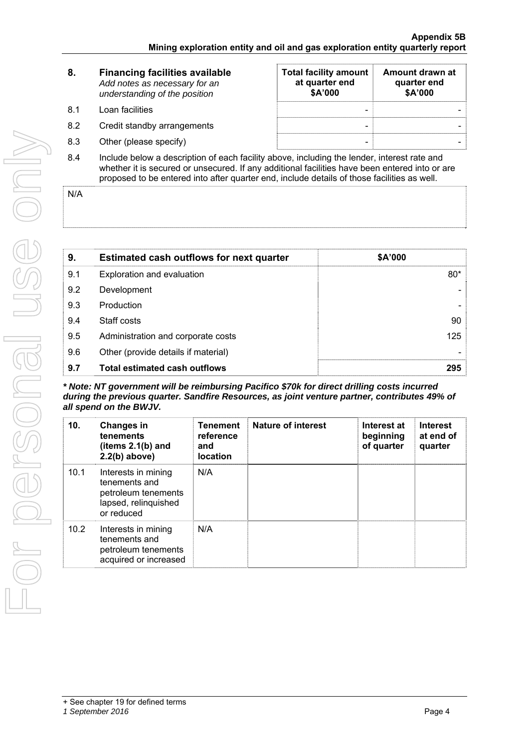| 8.  | <b>Financing facilities available</b><br>Add notes as necessary for an<br>understanding of the position | <b>Total facility amount</b><br>at quarter end<br>\$A'000 | Amount drawn at<br>quarter end<br>\$A'000 |
|-----|---------------------------------------------------------------------------------------------------------|-----------------------------------------------------------|-------------------------------------------|
| 8.1 | Loan facilities                                                                                         | ۰                                                         |                                           |
| 8.2 | Credit standby arrangements                                                                             | $\overline{\phantom{0}}$                                  |                                           |
| 8.3 | Other (please specify)                                                                                  | $\overline{\phantom{0}}$                                  |                                           |
| 8.4 | Include below a description of each facility above, including the lender, interest rate and             |                                                           |                                           |

whether it is secured or unsecured. If any additional facilities have been entered into or are proposed to be entered into after quarter end, include details of those facilities as well.

N/A

| 9.  | <b>Estimated cash outflows for next quarter</b> | \$A'000 |
|-----|-------------------------------------------------|---------|
| 9.1 | Exploration and evaluation                      | $80*$   |
| 9.2 | Development                                     |         |
| 9.3 | Production                                      |         |
| 9.4 | Staff costs                                     | 90      |
| 9.5 | Administration and corporate costs              | 125     |
| 9.6 | Other (provide details if material)             |         |
| 9.7 | <b>Total estimated cash outflows</b>            | 295     |

*\* Note: NT government will be reimbursing Pacifico \$70k for direct drilling costs incurred during the previous quarter. Sandfire Resources, as joint venture partner, contributes 49% of all spend on the BWJV.* 

| 10.  | <b>Changes in</b><br>tenements<br>(items $2.1(b)$ and<br>$2.2(b)$ above)                          | <b>Tenement</b><br>reference<br>and<br><b>location</b> | Nature of interest | Interest at<br>beginning<br>of quarter | <b>Interest</b><br>at end of<br>quarter |
|------|---------------------------------------------------------------------------------------------------|--------------------------------------------------------|--------------------|----------------------------------------|-----------------------------------------|
| 10.1 | Interests in mining<br>tenements and<br>petroleum tenements<br>lapsed, relinquished<br>or reduced | N/A                                                    |                    |                                        |                                         |
| 10.2 | Interests in mining<br>tenements and<br>petroleum tenements<br>acquired or increased              | N/A                                                    |                    |                                        |                                         |